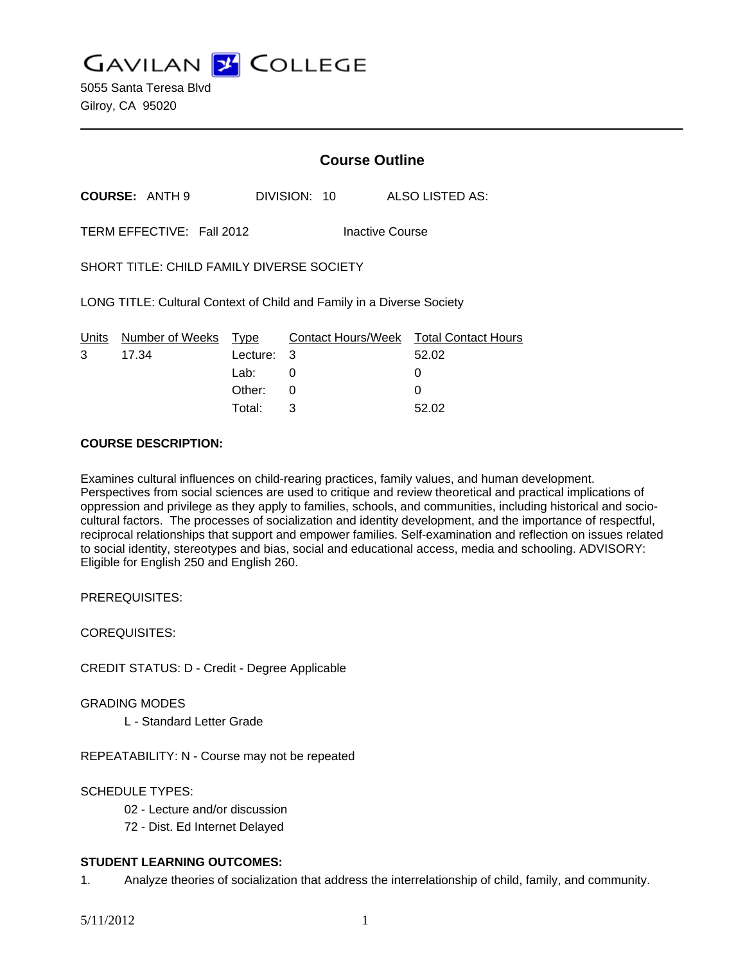**GAVILAN J COLLEGE** 

5055 Santa Teresa Blvd Gilroy, CA 95020

# **Course Outline**

**COURSE:** ANTH 9 DIVISION: 10 ALSO LISTED AS:

TERM EFFECTIVE: Fall 2012 Inactive Course

SHORT TITLE: CHILD FAMILY DIVERSE SOCIETY

LONG TITLE: Cultural Context of Child and Family in a Diverse Society

|              | Units Number of Weeks Type |            | Contact Hours/Week Total Contact Hours |       |
|--------------|----------------------------|------------|----------------------------------------|-------|
| $\mathbf{3}$ | 17.34                      | Lecture: 3 |                                        | 52.02 |
|              |                            | Lab: Lab   |                                        |       |
|              |                            | Other: 0   |                                        |       |
|              |                            | Total:     | ્ર                                     | 52.02 |

### **COURSE DESCRIPTION:**

Examines cultural influences on child-rearing practices, family values, and human development. Perspectives from social sciences are used to critique and review theoretical and practical implications of oppression and privilege as they apply to families, schools, and communities, including historical and sociocultural factors. The processes of socialization and identity development, and the importance of respectful, reciprocal relationships that support and empower families. Self-examination and reflection on issues related to social identity, stereotypes and bias, social and educational access, media and schooling. ADVISORY: Eligible for English 250 and English 260.

PREREQUISITES:

COREQUISITES:

CREDIT STATUS: D - Credit - Degree Applicable

GRADING MODES

L - Standard Letter Grade

REPEATABILITY: N - Course may not be repeated

### SCHEDULE TYPES:

- 02 Lecture and/or discussion
- 72 Dist. Ed Internet Delayed

### **STUDENT LEARNING OUTCOMES:**

1. Analyze theories of socialization that address the interrelationship of child, family, and community.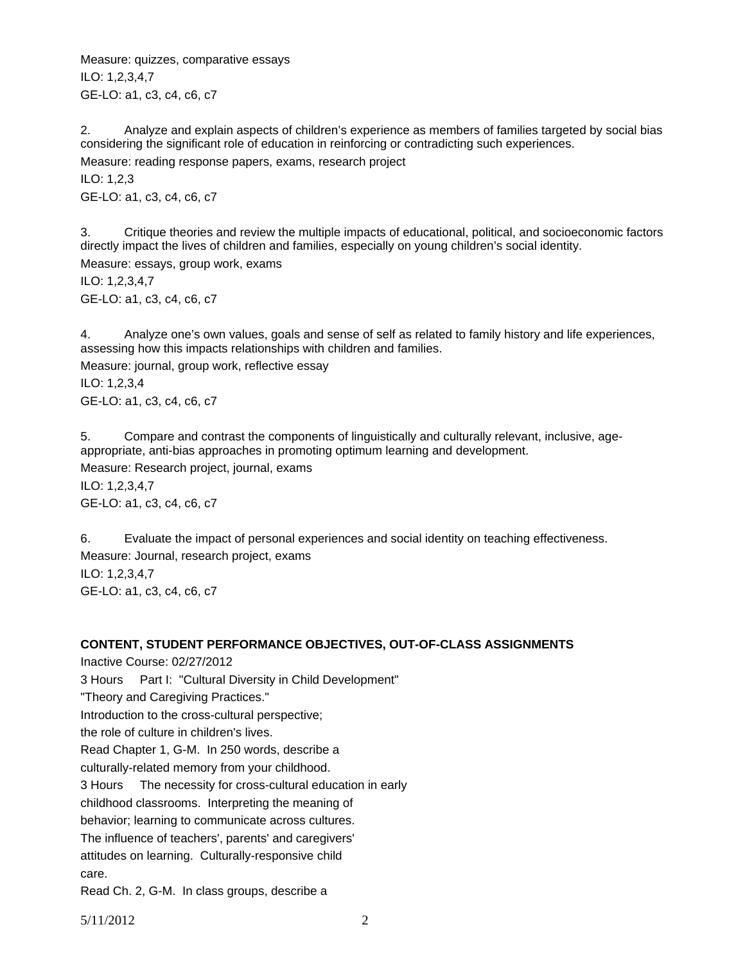Measure: quizzes, comparative essays ILO: 1,2,3,4,7 GE-LO: a1, c3, c4, c6, c7

2. Analyze and explain aspects of children's experience as members of families targeted by social bias considering the significant role of education in reinforcing or contradicting such experiences. Measure: reading response papers, exams, research project ILO: 1,2,3 GE-LO: a1, c3, c4, c6, c7

3. Critique theories and review the multiple impacts of educational, political, and socioeconomic factors directly impact the lives of children and families, especially on young children's social identity. Measure: essays, group work, exams

ILO: 1,2,3,4,7 GE-LO: a1, c3, c4, c6, c7

4. Analyze one's own values, goals and sense of self as related to family history and life experiences, assessing how this impacts relationships with children and families.

Measure: journal, group work, reflective essay ILO: 1,2,3,4 GE-LO: a1, c3, c4, c6, c7

5. Compare and contrast the components of linguistically and culturally relevant, inclusive, ageappropriate, anti-bias approaches in promoting optimum learning and development. Measure: Research project, journal, exams ILO: 1,2,3,4,7 GE-LO: a1, c3, c4, c6, c7

6. Evaluate the impact of personal experiences and social identity on teaching effectiveness. Measure: Journal, research project, exams ILO: 1,2,3,4,7 GE-LO: a1, c3, c4, c6, c7

# **CONTENT, STUDENT PERFORMANCE OBJECTIVES, OUT-OF-CLASS ASSIGNMENTS**

Inactive Course: 02/27/2012 3 Hours Part I: "Cultural Diversity in Child Development" "Theory and Caregiving Practices." Introduction to the cross-cultural perspective; the role of culture in children's lives. Read Chapter 1, G-M. In 250 words, describe a culturally-related memory from your childhood. 3 Hours The necessity for cross-cultural education in early childhood classrooms. Interpreting the meaning of behavior; learning to communicate across cultures. The influence of teachers', parents' and caregivers' attitudes on learning. Culturally-responsive child care.

Read Ch. 2, G-M. In class groups, describe a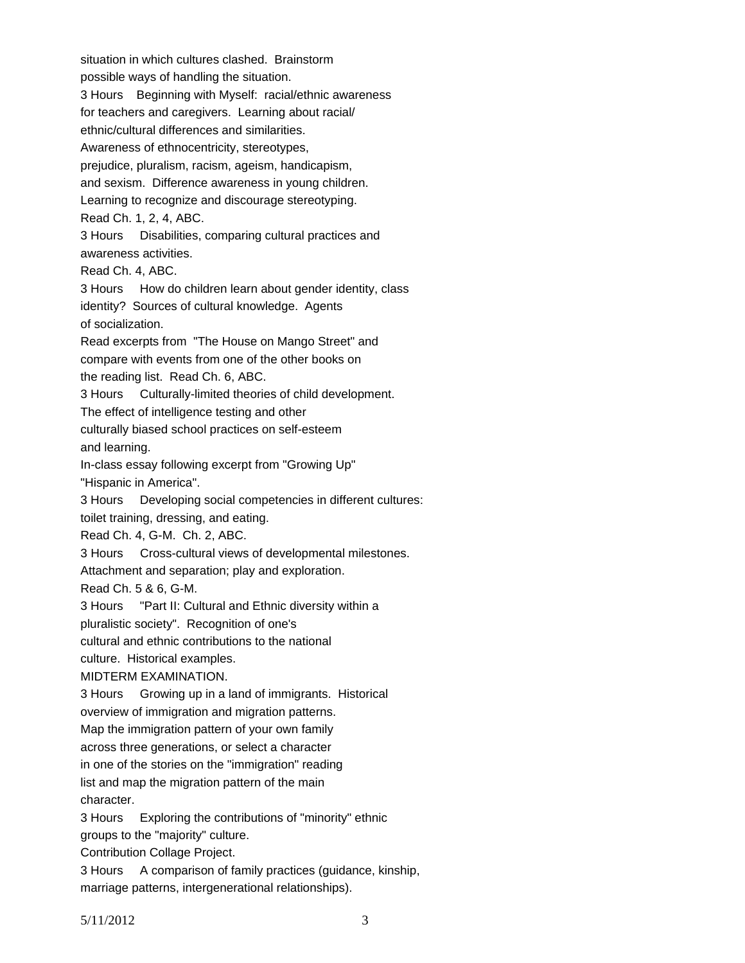situation in which cultures clashed. Brainstorm possible ways of handling the situation. 3 Hours Beginning with Myself: racial/ethnic awareness for teachers and caregivers. Learning about racial/ ethnic/cultural differences and similarities. Awareness of ethnocentricity, stereotypes, prejudice, pluralism, racism, ageism, handicapism, and sexism. Difference awareness in young children. Learning to recognize and discourage stereotyping. Read Ch. 1, 2, 4, ABC. 3 Hours Disabilities, comparing cultural practices and awareness activities. Read Ch. 4, ABC. 3 Hours How do children learn about gender identity, class identity? Sources of cultural knowledge. Agents of socialization. Read excerpts from "The House on Mango Street" and compare with events from one of the other books on the reading list. Read Ch. 6, ABC. 3 Hours Culturally-limited theories of child development. The effect of intelligence testing and other culturally biased school practices on self-esteem and learning. In-class essay following excerpt from "Growing Up" "Hispanic in America". 3 Hours Developing social competencies in different cultures: toilet training, dressing, and eating. Read Ch. 4, G-M. Ch. 2, ABC. 3 Hours Cross-cultural views of developmental milestones. Attachment and separation; play and exploration. Read Ch. 5 & 6, G-M. 3 Hours "Part II: Cultural and Ethnic diversity within a pluralistic society". Recognition of one's cultural and ethnic contributions to the national culture. Historical examples. MIDTERM EXAMINATION. 3 Hours Growing up in a land of immigrants. Historical overview of immigration and migration patterns. Map the immigration pattern of your own family across three generations, or select a character in one of the stories on the "immigration" reading list and map the migration pattern of the main character. 3 Hours Exploring the contributions of "minority" ethnic groups to the "majority" culture. Contribution Collage Project. 3 Hours A comparison of family practices (guidance, kinship, marriage patterns, intergenerational relationships).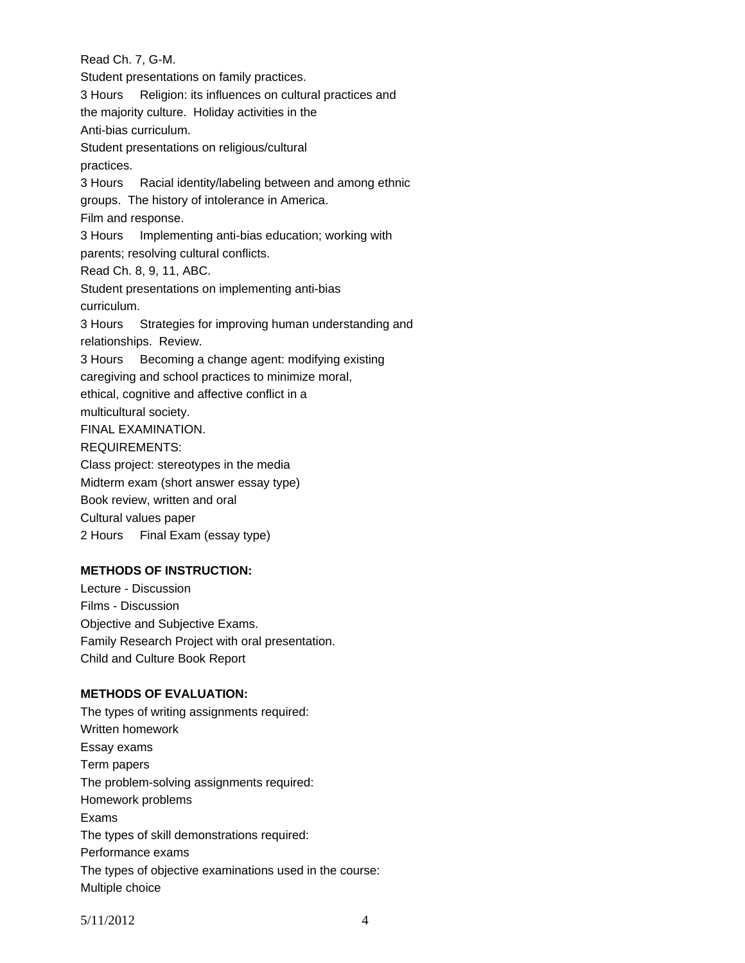Read Ch. 7, G-M. Student presentations on family practices. 3 Hours Religion: its influences on cultural practices and the majority culture. Holiday activities in the Anti-bias curriculum. Student presentations on religious/cultural practices. 3 Hours Racial identity/labeling between and among ethnic groups. The history of intolerance in America. Film and response. 3 Hours Implementing anti-bias education; working with parents; resolving cultural conflicts. Read Ch. 8, 9, 11, ABC. Student presentations on implementing anti-bias curriculum. 3 Hours Strategies for improving human understanding and relationships. Review. 3 Hours Becoming a change agent: modifying existing caregiving and school practices to minimize moral, ethical, cognitive and affective conflict in a multicultural society. FINAL EXAMINATION. REQUIREMENTS: Class project: stereotypes in the media Midterm exam (short answer essay type) Book review, written and oral Cultural values paper 2 Hours Final Exam (essay type)

# **METHODS OF INSTRUCTION:**

Lecture - Discussion Films - Discussion Objective and Subjective Exams. Family Research Project with oral presentation. Child and Culture Book Report

## **METHODS OF EVALUATION:**

The types of writing assignments required: Written homework Essay exams Term papers The problem-solving assignments required: Homework problems Exams The types of skill demonstrations required: Performance exams The types of objective examinations used in the course: Multiple choice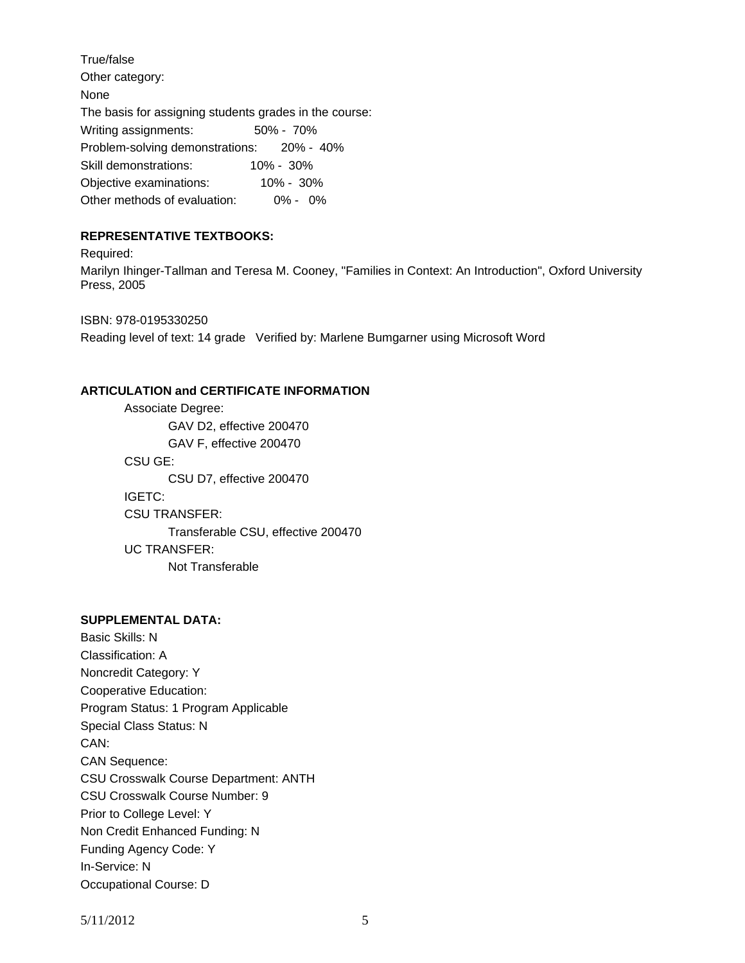True/false Other category: None The basis for assigning students grades in the course: Writing assignments: 50% - 70% Problem-solving demonstrations: 20% - 40% Skill demonstrations: 10% - 30% Objective examinations: 10% - 30% Other methods of evaluation: 0% - 0%

## **REPRESENTATIVE TEXTBOOKS:**

Required: Marilyn Ihinger-Tallman and Teresa M. Cooney, "Families in Context: An Introduction", Oxford University Press, 2005

ISBN: 978-0195330250 Reading level of text: 14 grade Verified by: Marlene Bumgarner using Microsoft Word

## **ARTICULATION and CERTIFICATE INFORMATION**

 Transferable CSU, effective 200470 UC TRANSFER: Not Transferable Associate Degree: GAV D2, effective 200470 GAV F, effective 200470 CSU GE: CSU D7, effective 200470 IGETC: CSU TRANSFER:

## **SUPPLEMENTAL DATA:**

Basic Skills: N Classification: A Noncredit Category: Y Cooperative Education: Program Status: 1 Program Applicable Special Class Status: N CAN: CAN Sequence: CSU Crosswalk Course Department: ANTH CSU Crosswalk Course Number: 9 Prior to College Level: Y Non Credit Enhanced Funding: N Funding Agency Code: Y In-Service: N Occupational Course: D